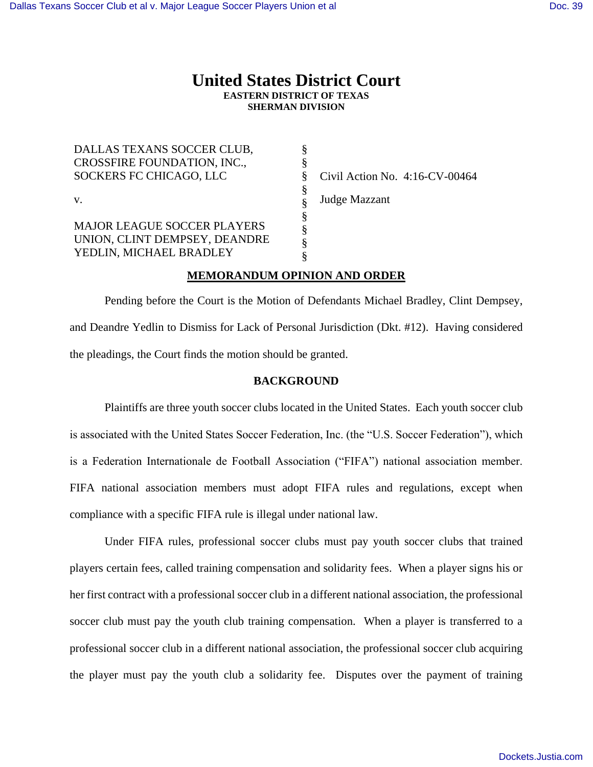# **United States District Court EASTERN DISTRICT OF TEXAS SHERMAN DIVISION**

| DALLAS TEXANS SOCCER CLUB,    |    |                                |
|-------------------------------|----|--------------------------------|
| CROSSFIRE FOUNDATION, INC.,   |    |                                |
| SOCKERS FC CHICAGO, LLC       | ŏ  | Civil Action No. 4:16-CV-00464 |
|                               | \$ |                                |
| V.                            |    | Judge Mazzant                  |
|                               | §  |                                |
| MAJOR LEAGUE SOCCER PLAYERS   |    |                                |
| UNION, CLINT DEMPSEY, DEANDRE |    |                                |
| YEDLIN, MICHAEL BRADLEY       |    |                                |
|                               |    |                                |

## **MEMORANDUM OPINION AND ORDER**

Pending before the Court is the Motion of Defendants Michael Bradley, Clint Dempsey, and Deandre Yedlin to Dismiss for Lack of Personal Jurisdiction (Dkt. #12). Having considered the pleadings, the Court finds the motion should be granted.

### **BACKGROUND**

Plaintiffs are three youth soccer clubs located in the United States. Each youth soccer club is associated with the United States Soccer Federation, Inc. (the "U.S. Soccer Federation"), which is a Federation Internationale de Football Association ("FIFA") national association member. FIFA national association members must adopt FIFA rules and regulations, except when compliance with a specific FIFA rule is illegal under national law.

Under FIFA rules, professional soccer clubs must pay youth soccer clubs that trained players certain fees, called training compensation and solidarity fees. When a player signs his or her first contract with a professional soccer club in a different national association, the professional soccer club must pay the youth club training compensation. When a player is transferred to a professional soccer club in a different national association, the professional soccer club acquiring the player must pay the youth club a solidarity fee. Disputes over the payment of training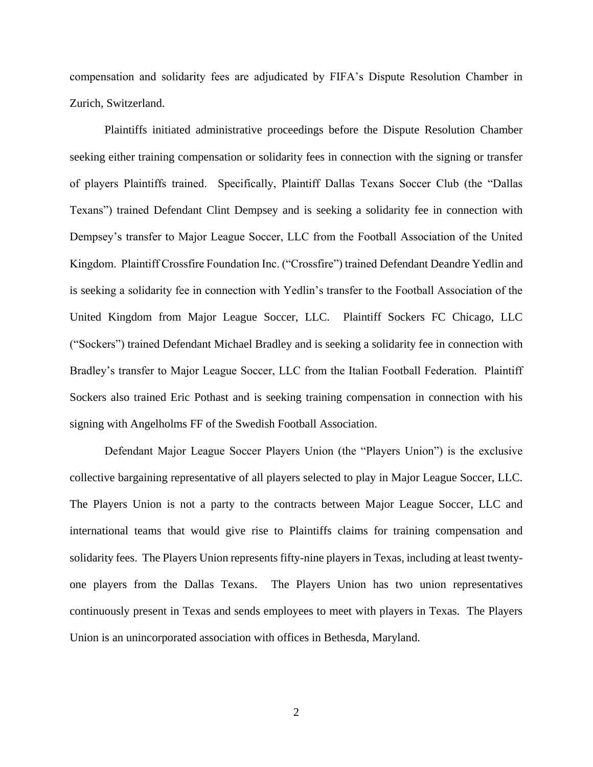compensation and solidarity fees are adjudicated by FIFA's Dispute Resolution Chamber in Zurich, Switzerland.

Plaintiffs initiated administrative proceedings before the Dispute Resolution Chamber seeking either training compensation or solidarity fees in connection with the signing or transfer of players Plaintiffs trained. Specifically, Plaintiff Dallas Texans Soccer Club (the "Dallas Texans") trained Defendant Clint Dempsey and is seeking a solidarity fee in connection with Dempsey's transfer to Major League Soccer, LLC from the Football Association of the United Kingdom. Plaintiff Crossfire Foundation Inc. ("Crossfire") trained Defendant Deandre Yedlin and is seeking a solidarity fee in connection with Yedlin's transfer to the Football Association of the United Kingdom from Major League Soccer, LLC. Plaintiff Sockers FC Chicago, LLC ("Sockers") trained Defendant Michael Bradley and is seeking a solidarity fee in connection with Bradley's transfer to Major League Soccer, LLC from the Italian Football Federation. Plaintiff Sockers also trained Eric Pothast and is seeking training compensation in connection with his signing with Angelholms FF of the Swedish Football Association.

Defendant Major League Soccer Players Union (the "Players Union") is the exclusive collective bargaining representative of all players selected to play in Major League Soccer, LLC. The Players Union is not a party to the contracts between Major League Soccer, LLC and international teams that would give rise to Plaintiffs claims for training compensation and solidarity fees. The Players Union represents fifty-nine players in Texas, including at least twentyone players from the Dallas Texans. The Players Union has two union representatives continuously present in Texas and sends employees to meet with players in Texas. The Players Union is an unincorporated association with offices in Bethesda, Maryland.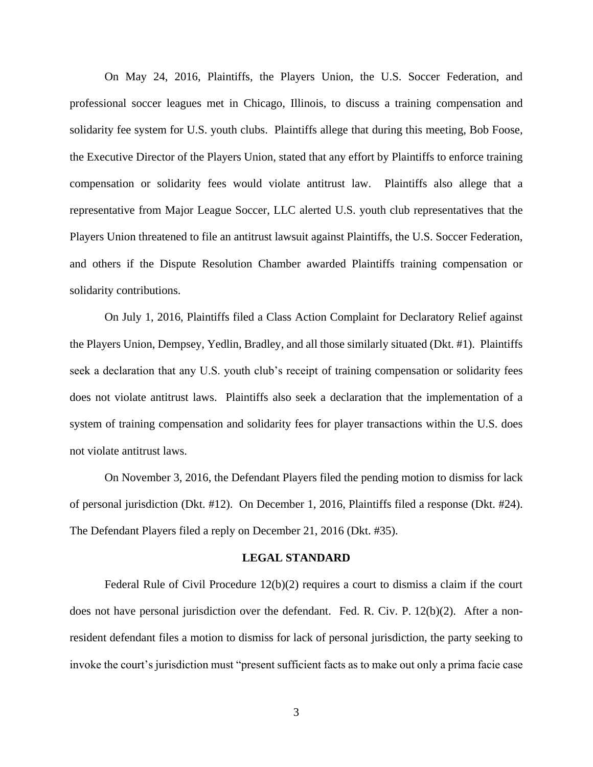On May 24, 2016, Plaintiffs, the Players Union, the U.S. Soccer Federation, and professional soccer leagues met in Chicago, Illinois, to discuss a training compensation and solidarity fee system for U.S. youth clubs. Plaintiffs allege that during this meeting, Bob Foose, the Executive Director of the Players Union, stated that any effort by Plaintiffs to enforce training compensation or solidarity fees would violate antitrust law. Plaintiffs also allege that a representative from Major League Soccer, LLC alerted U.S. youth club representatives that the Players Union threatened to file an antitrust lawsuit against Plaintiffs, the U.S. Soccer Federation, and others if the Dispute Resolution Chamber awarded Plaintiffs training compensation or solidarity contributions.

On July 1, 2016, Plaintiffs filed a Class Action Complaint for Declaratory Relief against the Players Union, Dempsey, Yedlin, Bradley, and all those similarly situated (Dkt. #1). Plaintiffs seek a declaration that any U.S. youth club's receipt of training compensation or solidarity fees does not violate antitrust laws. Plaintiffs also seek a declaration that the implementation of a system of training compensation and solidarity fees for player transactions within the U.S. does not violate antitrust laws.

On November 3, 2016, the Defendant Players filed the pending motion to dismiss for lack of personal jurisdiction (Dkt. #12). On December 1, 2016, Plaintiffs filed a response (Dkt. #24). The Defendant Players filed a reply on December 21, 2016 (Dkt. #35).

#### **LEGAL STANDARD**

Federal Rule of Civil Procedure  $12(b)(2)$  requires a court to dismiss a claim if the court does not have personal jurisdiction over the defendant. Fed. R. Civ. P. 12(b)(2). After a nonresident defendant files a motion to dismiss for lack of personal jurisdiction, the party seeking to invoke the court's jurisdiction must "present sufficient facts as to make out only a prima facie case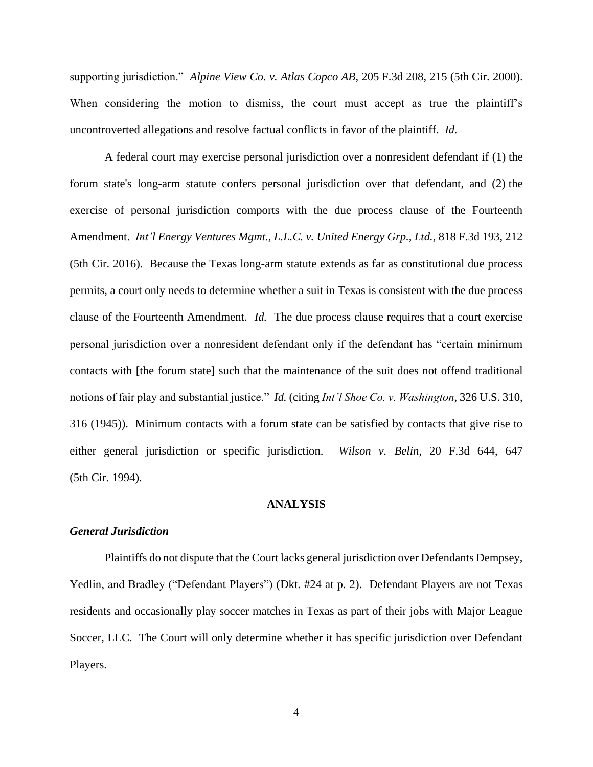supporting jurisdiction." *Alpine View Co. v. Atlas Copco AB*, 205 F.3d 208, 215 (5th Cir. 2000). When considering the motion to dismiss, the court must accept as true the plaintiff's uncontroverted allegations and resolve factual conflicts in favor of the plaintiff. *Id.* 

A federal court may exercise personal jurisdiction over a nonresident defendant if (1) the forum state's long-arm statute confers personal jurisdiction over that defendant, and (2) the exercise of personal jurisdiction comports with the due process clause of the Fourteenth Amendment. *Int'l Energy Ventures Mgmt., L.L.C. v. United Energy Grp., Ltd.*, 818 F.3d 193, 212 (5th Cir. 2016). Because the Texas long-arm statute extends as far as constitutional due process permits, a court only needs to determine whether a suit in Texas is consistent with the due process clause of the Fourteenth Amendment. *Id.* The due process clause requires that a court exercise personal jurisdiction over a nonresident defendant only if the defendant has "certain minimum contacts with [the forum state] such that the maintenance of the suit does not offend traditional notions of fair play and substantial justice." *Id.* (citing *Int'l Shoe Co. v. Washington*, 326 U.S. 310, 316 (1945)). Minimum contacts with a forum state can be satisfied by contacts that give rise to either general jurisdiction or specific jurisdiction. *Wilson v. Belin*, 20 F.3d 644, 647 (5th Cir. 1994).

#### **ANALYSIS**

#### *General Jurisdiction*

Plaintiffs do not dispute that the Court lacks general jurisdiction over Defendants Dempsey, Yedlin, and Bradley ("Defendant Players") (Dkt. #24 at p. 2). Defendant Players are not Texas residents and occasionally play soccer matches in Texas as part of their jobs with Major League Soccer, LLC. The Court will only determine whether it has specific jurisdiction over Defendant Players.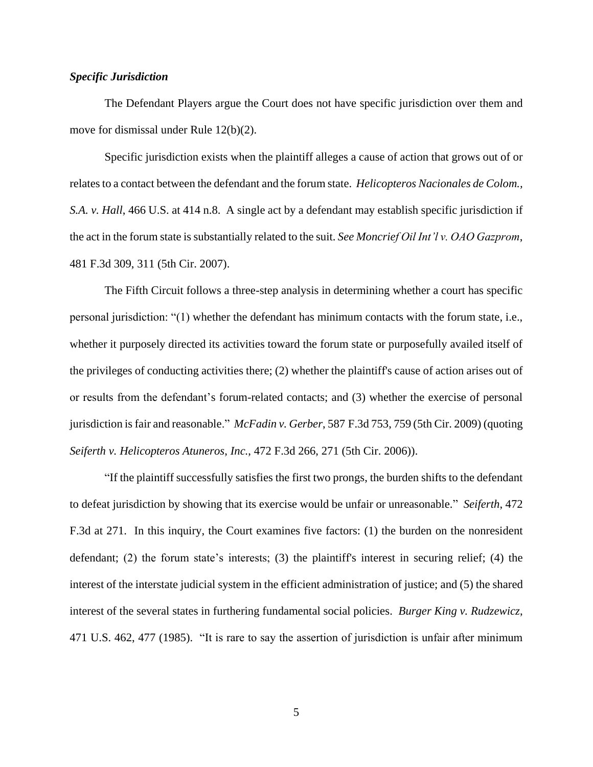### *Specific Jurisdiction*

The Defendant Players argue the Court does not have specific jurisdiction over them and move for dismissal under Rule 12(b)(2).

Specific jurisdiction exists when the plaintiff alleges a cause of action that grows out of or relates to a contact between the defendant and the forum state. *Helicopteros Nacionales de Colom., S.A. v. Hall*, 466 U.S. at 414 n.8. A single act by a defendant may establish specific jurisdiction if the act in the forum state is substantially related to the suit. *See Moncrief Oil Int'l v. OAO Gazprom*, 481 F.3d 309, 311 (5th Cir. 2007).

The Fifth Circuit follows a three-step analysis in determining whether a court has specific personal jurisdiction: "(1) whether the defendant has minimum contacts with the forum state, i.e., whether it purposely directed its activities toward the forum state or purposefully availed itself of the privileges of conducting activities there; (2) whether the plaintiff's cause of action arises out of or results from the defendant's forum-related contacts; and (3) whether the exercise of personal jurisdiction is fair and reasonable." *McFadin v. Gerber*, 587 F.3d 753, 759 (5th Cir. 2009) (quoting *Seiferth v. Helicopteros Atuneros*, *Inc.*, 472 F.3d 266, 271 (5th Cir. 2006)).

"If the plaintiff successfully satisfies the first two prongs, the burden shifts to the defendant to defeat jurisdiction by showing that its exercise would be unfair or unreasonable." *Seiferth*, 472 F.3d at 271. In this inquiry, the Court examines five factors: (1) the burden on the nonresident defendant; (2) the forum state's interests; (3) the plaintiff's interest in securing relief; (4) the interest of the interstate judicial system in the efficient administration of justice; and (5) the shared interest of the several states in furthering fundamental social policies. *Burger King v. Rudzewicz*, 471 U.S. 462, 477 (1985). "It is rare to say the assertion of jurisdiction is unfair after minimum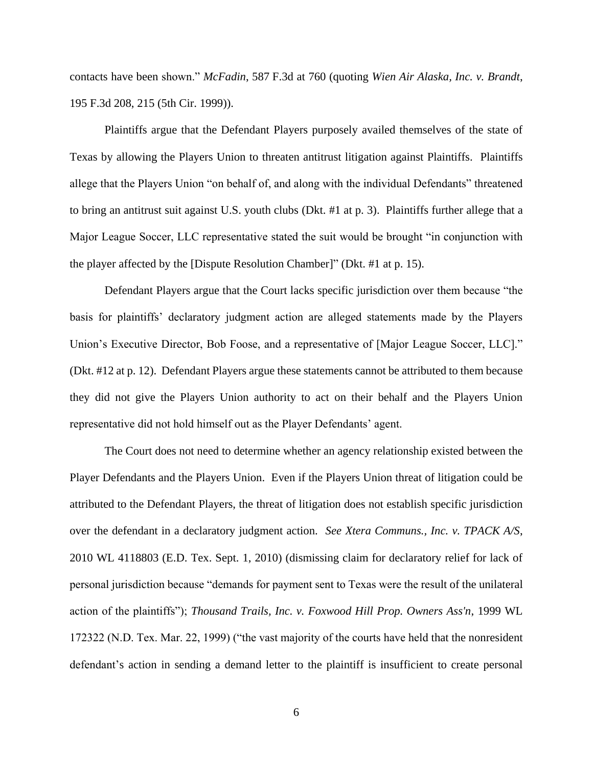contacts have been shown." *McFadin*, 587 F.3d at 760 (quoting *Wien Air Alaska, Inc. v. Brandt*, 195 F.3d 208, 215 (5th Cir. 1999)).

Plaintiffs argue that the Defendant Players purposely availed themselves of the state of Texas by allowing the Players Union to threaten antitrust litigation against Plaintiffs. Plaintiffs allege that the Players Union "on behalf of, and along with the individual Defendants" threatened to bring an antitrust suit against U.S. youth clubs (Dkt. #1 at p. 3). Plaintiffs further allege that a Major League Soccer, LLC representative stated the suit would be brought "in conjunction with the player affected by the [Dispute Resolution Chamber]" (Dkt. #1 at p. 15).

Defendant Players argue that the Court lacks specific jurisdiction over them because "the basis for plaintiffs' declaratory judgment action are alleged statements made by the Players Union's Executive Director, Bob Foose, and a representative of [Major League Soccer, LLC]." (Dkt. #12 at p. 12). Defendant Players argue these statements cannot be attributed to them because they did not give the Players Union authority to act on their behalf and the Players Union representative did not hold himself out as the Player Defendants' agent.

The Court does not need to determine whether an agency relationship existed between the Player Defendants and the Players Union. Even if the Players Union threat of litigation could be attributed to the Defendant Players, the threat of litigation does not establish specific jurisdiction over the defendant in a declaratory judgment action. *See Xtera Communs., Inc. v. TPACK A/S*, 2010 WL 4118803 (E.D. Tex. Sept. 1, 2010) (dismissing claim for declaratory relief for lack of personal jurisdiction because "demands for payment sent to Texas were the result of the unilateral action of the plaintiffs"); *Thousand Trails, Inc. v. Foxwood Hill Prop. Owners Ass'n*, 1999 WL 172322 (N.D. Tex. Mar. 22, 1999) ("the vast majority of the courts have held that the nonresident defendant's action in sending a demand letter to the plaintiff is insufficient to create personal